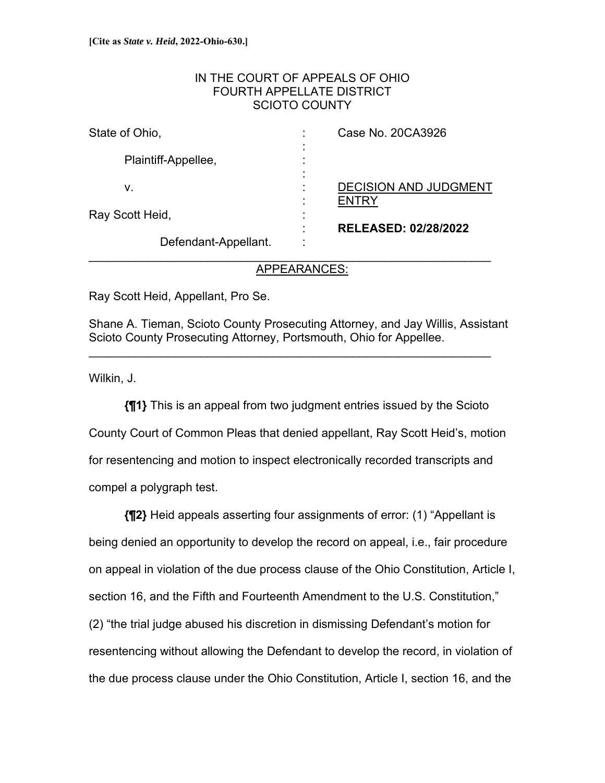## IN THE COURT OF APPEALS OF OHIO FOURTH APPELLATE DISTRICT SCIOTO COUNTY

| State of Ohio,        | ٠                                | Case No. 20CA3926                                           |
|-----------------------|----------------------------------|-------------------------------------------------------------|
| Plaintiff-Appellee,   | $\blacksquare$<br>$\blacksquare$ |                                                             |
| v.<br>Ray Scott Heid, | ٠<br>٠<br>٠<br>٠                 | <b>DECISION AND JUDGMENT</b><br><b>RELEASED: 02/28/2022</b> |
| Defendant-Appellant.  |                                  |                                                             |

# APPEARANCES:

Ray Scott Heid, Appellant, Pro Se.

Shane A. Tieman, Scioto County Prosecuting Attorney, and Jay Willis, Assistant Scioto County Prosecuting Attorney, Portsmouth, Ohio for Appellee.

\_\_\_\_\_\_\_\_\_\_\_\_\_\_\_\_\_\_\_\_\_\_\_\_\_\_\_\_\_\_\_\_\_\_\_\_\_\_\_\_\_\_\_\_\_\_\_\_\_\_\_\_\_\_\_\_\_\_\_\_\_

Wilkin, J.

**{¶1}** This is an appeal from two judgment entries issued by the Scioto County Court of Common Pleas that denied appellant, Ray Scott Heid's, motion for resentencing and motion to inspect electronically recorded transcripts and compel a polygraph test.

**{¶2}** Heid appeals asserting four assignments of error: (1) "Appellant is being denied an opportunity to develop the record on appeal, i.e., fair procedure on appeal in violation of the due process clause of the Ohio Constitution, Article I, section 16, and the Fifth and Fourteenth Amendment to the U.S. Constitution," (2) "the trial judge abused his discretion in dismissing Defendant's motion for resentencing without allowing the Defendant to develop the record, in violation of the due process clause under the Ohio Constitution, Article I, section 16, and the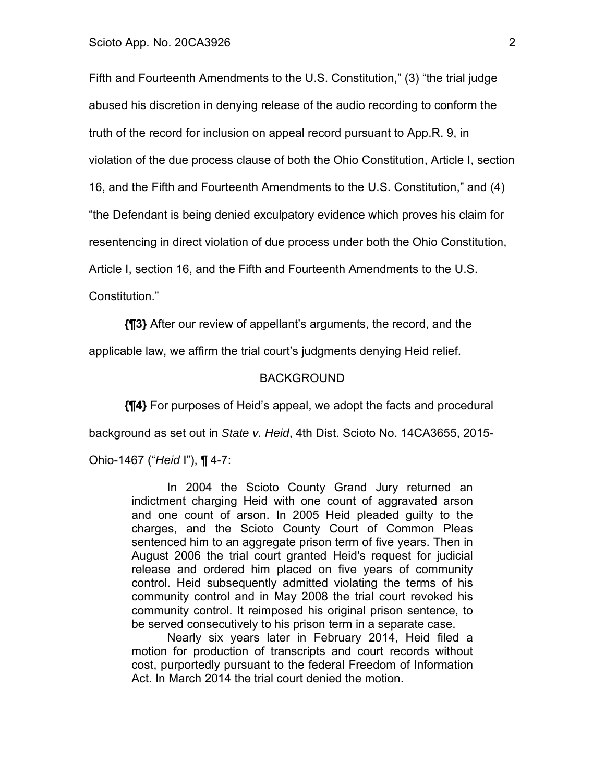Fifth and Fourteenth Amendments to the U.S. Constitution," (3) "the trial judge abused his discretion in denying release of the audio recording to conform the truth of the record for inclusion on appeal record pursuant to App.R. 9, in violation of the due process clause of both the Ohio Constitution, Article I, section 16, and the Fifth and Fourteenth Amendments to the U.S. Constitution," and (4) "the Defendant is being denied exculpatory evidence which proves his claim for resentencing in direct violation of due process under both the Ohio Constitution, Article I, section 16, and the Fifth and Fourteenth Amendments to the U.S. Constitution."

**{¶3}** After our review of appellant's arguments, the record, and the

applicable law, we affirm the trial court's judgments denying Heid relief.

#### BACKGROUND

**{¶4}** For purposes of Heid's appeal, we adopt the facts and procedural background as set out in *State v. Heid*, 4th Dist. Scioto No. 14CA3655, 2015- Ohio-1467 ("*Heid* I"), ¶ 4-7:

> In 2004 the Scioto County Grand Jury returned an indictment charging Heid with one count of aggravated arson and one count of arson. In 2005 Heid pleaded guilty to the charges, and the Scioto County Court of Common Pleas sentenced him to an aggregate prison term of five years. Then in August 2006 the trial court granted Heid's request for judicial release and ordered him placed on five years of community control. Heid subsequently admitted violating the terms of his community control and in May 2008 the trial court revoked his community control. It reimposed his original prison sentence, to be served consecutively to his prison term in a separate case.

> Nearly six years later in February 2014, Heid filed a motion for production of transcripts and court records without cost, purportedly pursuant to the federal Freedom of Information Act. In March 2014 the trial court denied the motion.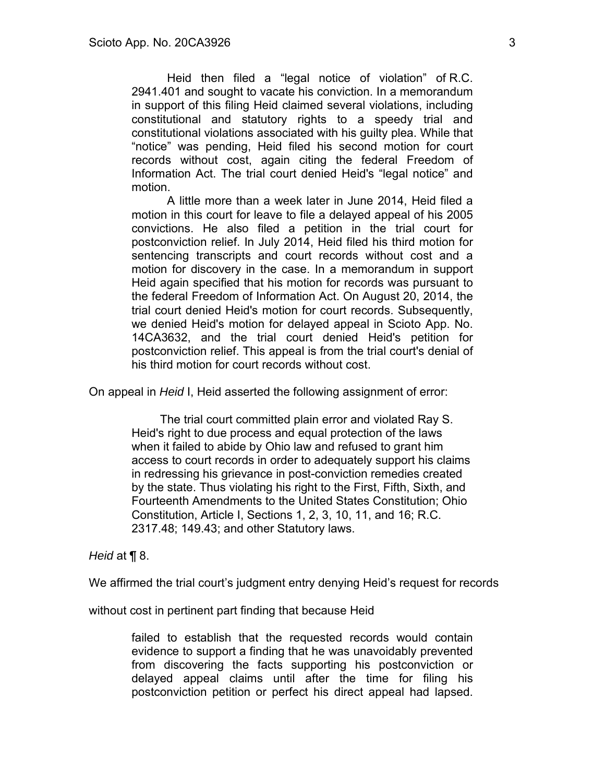Heid then filed a "legal notice of violation" of R.C. 2941.401 and sought to vacate his conviction. In a memorandum in support of this filing Heid claimed several violations, including constitutional and statutory rights to a speedy trial and constitutional violations associated with his guilty plea. While that "notice" was pending, Heid filed his second motion for court records without cost, again citing the federal Freedom of Information Act. The trial court denied Heid's "legal notice" and motion.

A little more than a week later in June 2014, Heid filed a motion in this court for leave to file a delayed appeal of his 2005 convictions. He also filed a petition in the trial court for postconviction relief. In July 2014, Heid filed his third motion for sentencing transcripts and court records without cost and a motion for discovery in the case. In a memorandum in support Heid again specified that his motion for records was pursuant to the federal Freedom of Information Act. On August 20, 2014, the trial court denied Heid's motion for court records. Subsequently, we denied Heid's motion for delayed appeal in Scioto App. No. 14CA3632, and the trial court denied Heid's petition for postconviction relief. This appeal is from the trial court's denial of his third motion for court records without cost.

On appeal in *Heid* I, Heid asserted the following assignment of error:

The trial court committed plain error and violated Ray S. Heid's right to due process and equal protection of the laws when it failed to abide by Ohio law and refused to grant him access to court records in order to adequately support his claims in redressing his grievance in post-conviction remedies created by the state. Thus violating his right to the First, Fifth, Sixth, and Fourteenth Amendments to the United States Constitution; Ohio Constitution, Article I, Sections 1, 2, 3, 10, 11, and 16; R.C. 2317.48; 149.43; and other Statutory laws.

## *Heid* at ¶ 8.

We affirmed the trial court's judgment entry denying Heid's request for records

without cost in pertinent part finding that because Heid

failed to establish that the requested records would contain evidence to support a finding that he was unavoidably prevented from discovering the facts supporting his postconviction or delayed appeal claims until after the time for filing his postconviction petition or perfect his direct appeal had lapsed.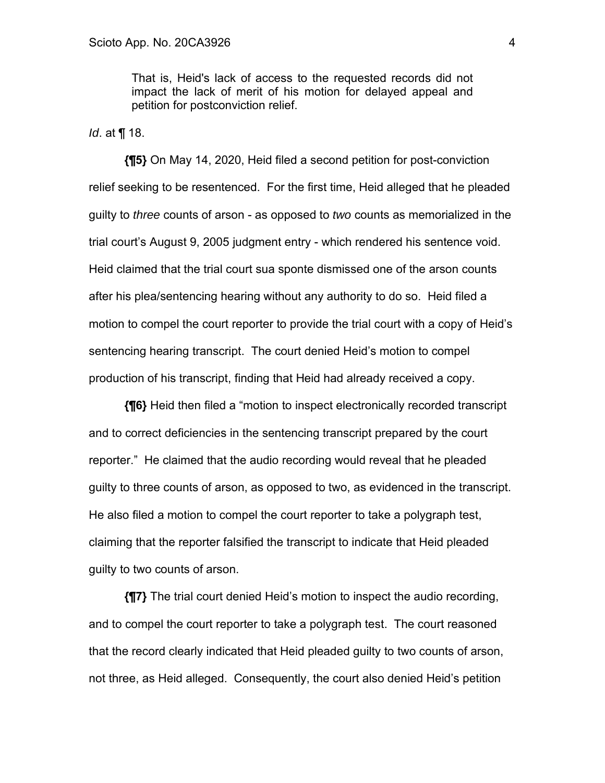That is, Heid's lack of access to the requested records did not impact the lack of merit of his motion for delayed appeal and petition for postconviction relief.

*Id*. at ¶ 18.

**{¶5}** On May 14, 2020, Heid filed a second petition for post-conviction relief seeking to be resentenced. For the first time, Heid alleged that he pleaded guilty to *three* counts of arson - as opposed to *two* counts as memorialized in the trial court's August 9, 2005 judgment entry - which rendered his sentence void. Heid claimed that the trial court sua sponte dismissed one of the arson counts after his plea/sentencing hearing without any authority to do so. Heid filed a motion to compel the court reporter to provide the trial court with a copy of Heid's sentencing hearing transcript. The court denied Heid's motion to compel production of his transcript, finding that Heid had already received a copy.

**{¶6}** Heid then filed a "motion to inspect electronically recorded transcript and to correct deficiencies in the sentencing transcript prepared by the court reporter." He claimed that the audio recording would reveal that he pleaded guilty to three counts of arson, as opposed to two, as evidenced in the transcript. He also filed a motion to compel the court reporter to take a polygraph test, claiming that the reporter falsified the transcript to indicate that Heid pleaded guilty to two counts of arson.

**{¶7}** The trial court denied Heid's motion to inspect the audio recording, and to compel the court reporter to take a polygraph test. The court reasoned that the record clearly indicated that Heid pleaded guilty to two counts of arson, not three, as Heid alleged. Consequently, the court also denied Heid's petition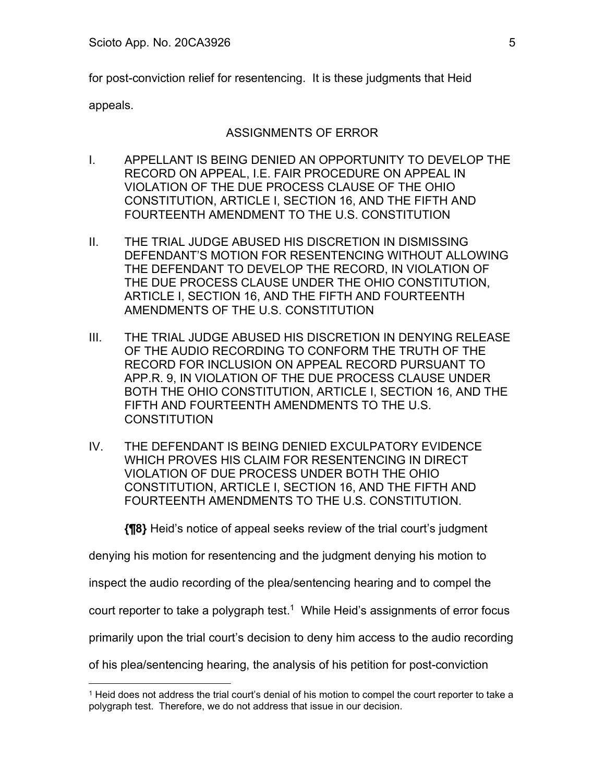for post-conviction relief for resentencing. It is these judgments that Heid

appeals.

# ASSIGNMENTS OF ERROR

- I. APPELLANT IS BEING DENIED AN OPPORTUNITY TO DEVELOP THE RECORD ON APPEAL, I.E. FAIR PROCEDURE ON APPEAL IN VIOLATION OF THE DUE PROCESS CLAUSE OF THE OHIO CONSTITUTION, ARTICLE I, SECTION 16, AND THE FIFTH AND FOURTEENTH AMENDMENT TO THE U.S. CONSTITUTION
- II. THE TRIAL JUDGE ABUSED HIS DISCRETION IN DISMISSING DEFENDANT'S MOTION FOR RESENTENCING WITHOUT ALLOWING THE DEFENDANT TO DEVELOP THE RECORD, IN VIOLATION OF THE DUE PROCESS CLAUSE UNDER THE OHIO CONSTITUTION, ARTICLE I, SECTION 16, AND THE FIFTH AND FOURTEENTH AMENDMENTS OF THE U.S. CONSTITUTION
- III. THE TRIAL JUDGE ABUSED HIS DISCRETION IN DENYING RELEASE OF THE AUDIO RECORDING TO CONFORM THE TRUTH OF THE RECORD FOR INCLUSION ON APPEAL RECORD PURSUANT TO APP.R. 9, IN VIOLATION OF THE DUE PROCESS CLAUSE UNDER BOTH THE OHIO CONSTITUTION, ARTICLE I, SECTION 16, AND THE FIFTH AND FOURTEENTH AMENDMENTS TO THE U.S. **CONSTITUTION**
- IV. THE DEFENDANT IS BEING DENIED EXCULPATORY EVIDENCE WHICH PROVES HIS CLAIM FOR RESENTENCING IN DIRECT VIOLATION OF DUE PROCESS UNDER BOTH THE OHIO CONSTITUTION, ARTICLE I, SECTION 16, AND THE FIFTH AND FOURTEENTH AMENDMENTS TO THE U.S. CONSTITUTION.

**{¶8}** Heid's notice of appeal seeks review of the trial court's judgment

denying his motion for resentencing and the judgment denying his motion to

inspect the audio recording of the plea/sentencing hearing and to compel the

court reporter to take a polygraph test.<sup>1</sup> While Heid's assignments of error focus

primarily upon the trial court's decision to deny him access to the audio recording

of his plea/sentencing hearing, the analysis of his petition for post-conviction

<sup>1</sup> Heid does not address the trial court's denial of his motion to compel the court reporter to take a polygraph test. Therefore, we do not address that issue in our decision.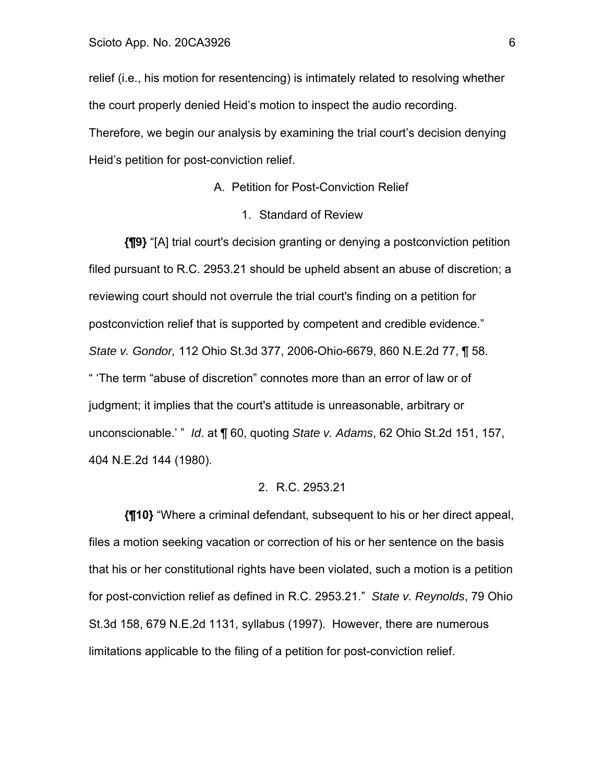relief (i.e., his motion for resentencing) is intimately related to resolving whether the court properly denied Heid's motion to inspect the audio recording.

Therefore, we begin our analysis by examining the trial court's decision denying Heid's petition for post-conviction relief.

#### A. Petition for Post-Conviction Relief

### 1. Standard of Review

**{¶9}** "[A] trial court's decision granting or denying a postconviction petition filed pursuant to R.C. 2953.21 should be upheld absent an abuse of discretion; a reviewing court should not overrule the trial court's finding on a petition for postconviction relief that is supported by competent and credible evidence." *State v. Gondor,* 112 Ohio St.3d 377, 2006-Ohio-6679, 860 N.E.2d 77, ¶ 58. " 'The term "abuse of discretion" connotes more than an error of law or of judgment; it implies that the court's attitude is unreasonable, arbitrary or unconscionable.' " *Id*. at ¶ 60, quoting *State v. Adams*, 62 Ohio St.2d 151, 157, 404 N.E.2d 144 (1980).

### 2. R.C. 2953.21

**{¶10}** "Where a criminal defendant, subsequent to his or her direct appeal, files a motion seeking vacation or correction of his or her sentence on the basis that his or her constitutional rights have been violated, such a motion is a petition for post-conviction relief as defined in R.C. 2953.21." *State v. Reynolds*, 79 Ohio St.3d 158, 679 N.E.2d 1131, syllabus (1997). However, there are numerous limitations applicable to the filing of a petition for post-conviction relief.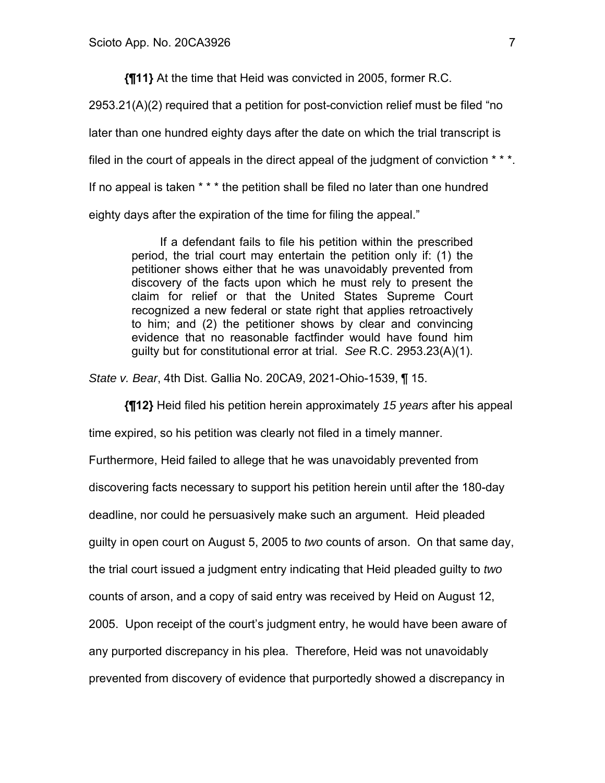**{¶11}** At the time that Heid was convicted in 2005, former R.C.

2953.21(A)(2) required that a petition for post-conviction relief must be filed "no later than one hundred eighty days after the date on which the trial transcript is filed in the court of appeals in the direct appeal of the judgment of conviction  $**$ . If no appeal is taken \* \* \* the petition shall be filed no later than one hundred eighty days after the expiration of the time for filing the appeal."

If a defendant fails to file his petition within the prescribed period, the trial court may entertain the petition only if: (1) the petitioner shows either that he was unavoidably prevented from discovery of the facts upon which he must rely to present the claim for relief or that the United States Supreme Court recognized a new federal or state right that applies retroactively to him; and (2) the petitioner shows by clear and convincing evidence that no reasonable factfinder would have found him guilty but for constitutional error at trial. *See* R.C. 2953.23(A)(1).

*State v. Bear*, 4th Dist. Gallia No. 20CA9, 2021-Ohio-1539, ¶ 15.

**{¶12}** Heid filed his petition herein approximately *15 years* after his appeal

time expired, so his petition was clearly not filed in a timely manner.

Furthermore, Heid failed to allege that he was unavoidably prevented from

discovering facts necessary to support his petition herein until after the 180-day

deadline, nor could he persuasively make such an argument. Heid pleaded

guilty in open court on August 5, 2005 to *two* counts of arson. On that same day,

the trial court issued a judgment entry indicating that Heid pleaded guilty to *two*

counts of arson, and a copy of said entry was received by Heid on August 12,

2005. Upon receipt of the court's judgment entry, he would have been aware of

any purported discrepancy in his plea. Therefore, Heid was not unavoidably

prevented from discovery of evidence that purportedly showed a discrepancy in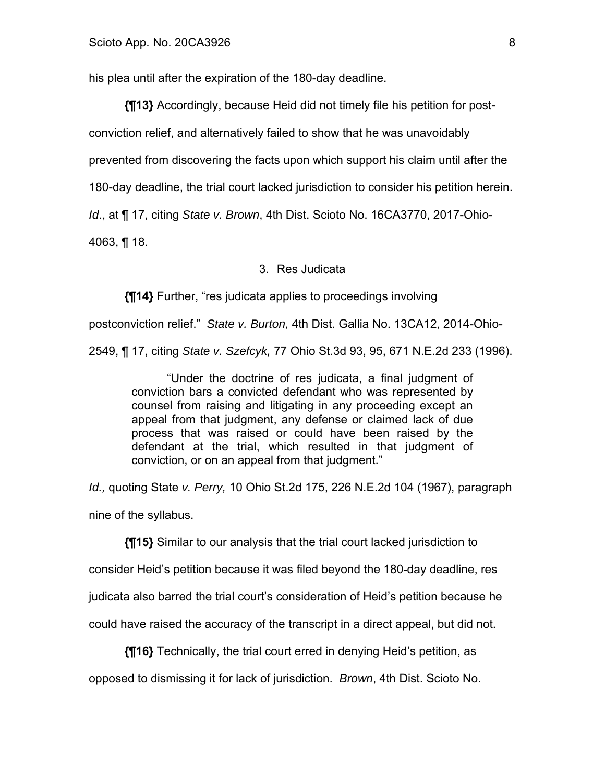his plea until after the expiration of the 180-day deadline.

**{¶13}** Accordingly, because Heid did not timely file his petition for postconviction relief, and alternatively failed to show that he was unavoidably prevented from discovering the facts upon which support his claim until after the 180-day deadline, the trial court lacked jurisdiction to consider his petition herein. *Id*., at ¶ 17, citing *State v. Brown*, 4th Dist. Scioto No. 16CA3770, 2017-Ohio-

4063, ¶ 18.

### 3. Res Judicata

**{¶14}** Further, "res judicata applies to proceedings involving

postconviction relief." *State v. Burton,* 4th Dist. Gallia No. 13CA12, 2014-Ohio-2549, ¶ 17, citing *State v. Szefcyk,* 77 Ohio St.3d 93, 95, 671 N.E.2d 233 (1996).

"Under the doctrine of res judicata, a final judgment of conviction bars a convicted defendant who was represented by counsel from raising and litigating in any proceeding except an appeal from that judgment, any defense or claimed lack of due process that was raised or could have been raised by the defendant at the trial, which resulted in that judgment of conviction, or on an appeal from that judgment."

*Id.,* quoting State *v. Perry,* 10 Ohio St.2d 175, 226 N.E.2d 104 (1967), paragraph nine of the syllabus.

**{¶15}** Similar to our analysis that the trial court lacked jurisdiction to consider Heid's petition because it was filed beyond the 180-day deadline, res judicata also barred the trial court's consideration of Heid's petition because he could have raised the accuracy of the transcript in a direct appeal, but did not.

**{¶16}** Technically, the trial court erred in denying Heid's petition, as

opposed to dismissing it for lack of jurisdiction. *Brown*, 4th Dist. Scioto No.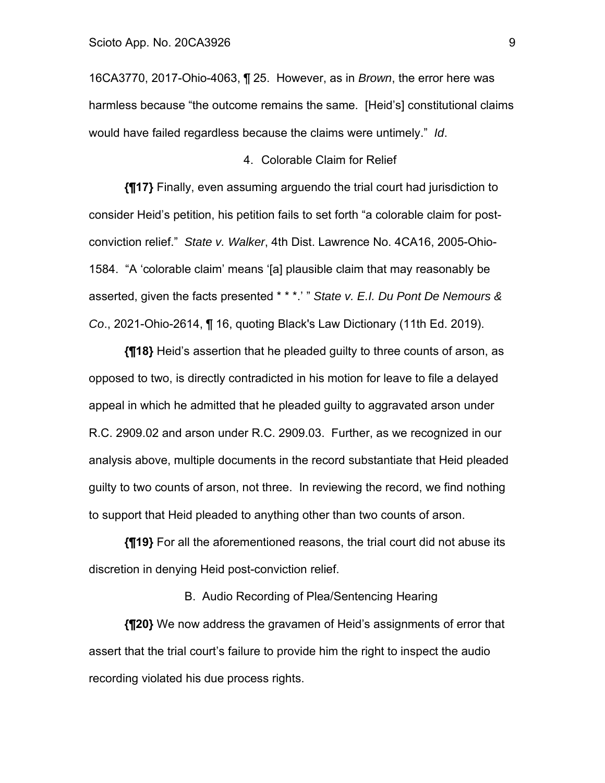16CA3770, 2017-Ohio-4063, ¶ 25. However, as in *Brown*, the error here was harmless because "the outcome remains the same. [Heid's] constitutional claims would have failed regardless because the claims were untimely." *Id*.

#### 4. Colorable Claim for Relief

**{¶17}** Finally, even assuming arguendo the trial court had jurisdiction to consider Heid's petition, his petition fails to set forth "a colorable claim for postconviction relief." *State v. Walker*, 4th Dist. Lawrence No. 4CA16, 2005-Ohio-1584. "A 'colorable claim' means '[a] plausible claim that may reasonably be asserted, given the facts presented \* \* \*.' " *State v. E.I. Du Pont De Nemours & Co*., 2021-Ohio-2614, ¶ 16, quoting Black's Law Dictionary (11th Ed. 2019).

**{¶18}** Heid's assertion that he pleaded guilty to three counts of arson, as opposed to two, is directly contradicted in his motion for leave to file a delayed appeal in which he admitted that he pleaded guilty to aggravated arson under R.C. 2909.02 and arson under R.C. 2909.03. Further, as we recognized in our analysis above, multiple documents in the record substantiate that Heid pleaded guilty to two counts of arson, not three. In reviewing the record, we find nothing to support that Heid pleaded to anything other than two counts of arson.

**{¶19}** For all the aforementioned reasons, the trial court did not abuse its discretion in denying Heid post-conviction relief.

B. Audio Recording of Plea/Sentencing Hearing

**{¶20}** We now address the gravamen of Heid's assignments of error that assert that the trial court's failure to provide him the right to inspect the audio recording violated his due process rights.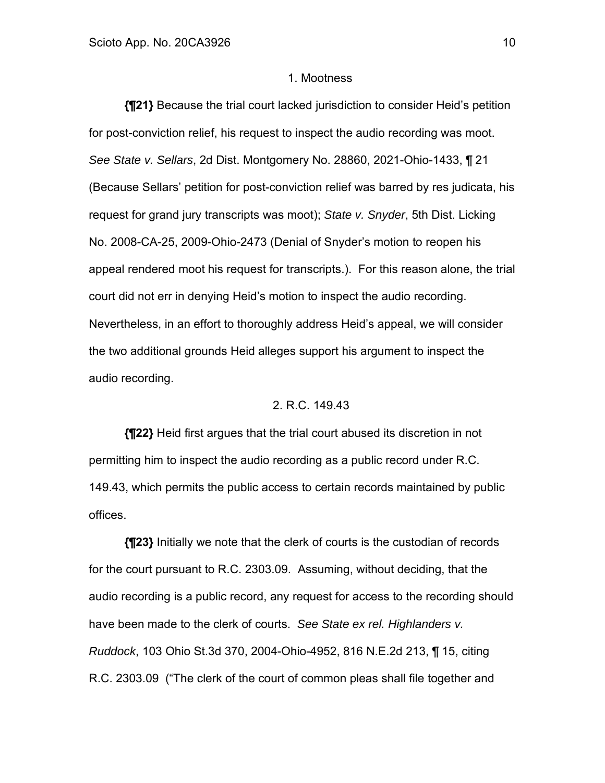### 1. Mootness

**{¶21}** Because the trial court lacked jurisdiction to consider Heid's petition for post-conviction relief, his request to inspect the audio recording was moot. *See State v. Sellars*, 2d Dist. Montgomery No. 28860, 2021-Ohio-1433, ¶ 21 (Because Sellars' petition for post-conviction relief was barred by res judicata, his request for grand jury transcripts was moot); *State v. Snyder*, 5th Dist. Licking No. 2008-CA-25, 2009-Ohio-2473 (Denial of Snyder's motion to reopen his appeal rendered moot his request for transcripts.). For this reason alone, the trial court did not err in denying Heid's motion to inspect the audio recording. Nevertheless, in an effort to thoroughly address Heid's appeal, we will consider the two additional grounds Heid alleges support his argument to inspect the audio recording.

## 2. R.C. 149.43

**{¶22}** Heid first argues that the trial court abused its discretion in not permitting him to inspect the audio recording as a public record under R.C. 149.43, which permits the public access to certain records maintained by public offices.

**{¶23}** Initially we note that the clerk of courts is the custodian of records for the court pursuant to R.C. 2303.09. Assuming, without deciding, that the audio recording is a public record, any request for access to the recording should have been made to the clerk of courts. *See State ex rel. Highlanders v. Ruddock*, 103 Ohio St.3d 370, 2004-Ohio-4952, 816 N.E.2d 213, ¶ 15, citing R.C. 2303.09 ("The clerk of the court of common pleas shall file together and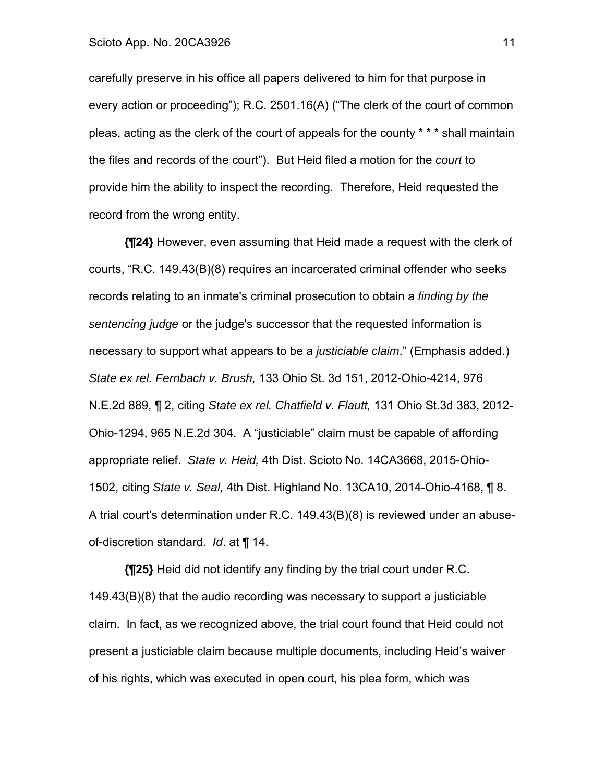#### Scioto App. No. 20CA3926 **11**

carefully preserve in his office all papers delivered to him for that purpose in every action or proceeding"); R.C. 2501.16(A) ("The clerk of the court of common pleas, acting as the clerk of the court of appeals for the county \* \* \* shall maintain the files and records of the court"). But Heid filed a motion for the *court* to provide him the ability to inspect the recording. Therefore, Heid requested the record from the wrong entity.

**{¶24}** However, even assuming that Heid made a request with the clerk of courts, "R.C. 149.43(B)(8) requires an incarcerated criminal offender who seeks records relating to an inmate's criminal prosecution to obtain a *finding by the sentencing judge* or the judge's successor that the requested information is necessary to support what appears to be a *justiciable claim*." (Emphasis added.) *State ex rel. Fernbach v. Brush,* 133 Ohio St. 3d 151, 2012-Ohio-4214, 976 N.E.2d 889, ¶ 2, citing *State ex rel. Chatfield v. Flautt,* 131 Ohio St.3d 383, 2012- Ohio-1294, 965 N.E.2d 304. A "justiciable" claim must be capable of affording appropriate relief. *State v. Heid,* 4th Dist. Scioto No. 14CA3668, 2015-Ohio-1502, citing *State v. Seal,* 4th Dist. Highland No. 13CA10, 2014-Ohio-4168, ¶ 8. A trial court's determination under R.C. 149.43(B)(8) is reviewed under an abuseof-discretion standard. *Id*. at ¶ 14.

**{¶25}** Heid did not identify any finding by the trial court under R.C. 149.43(B)(8) that the audio recording was necessary to support a justiciable claim. In fact, as we recognized above, the trial court found that Heid could not present a justiciable claim because multiple documents, including Heid's waiver of his rights, which was executed in open court, his plea form, which was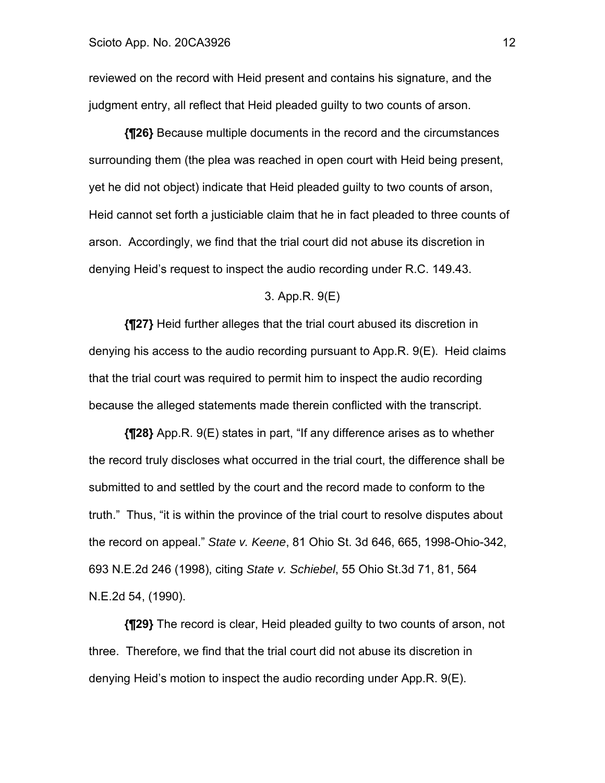reviewed on the record with Heid present and contains his signature, and the judgment entry, all reflect that Heid pleaded guilty to two counts of arson.

**{¶26}** Because multiple documents in the record and the circumstances surrounding them (the plea was reached in open court with Heid being present, yet he did not object) indicate that Heid pleaded guilty to two counts of arson, Heid cannot set forth a justiciable claim that he in fact pleaded to three counts of arson. Accordingly, we find that the trial court did not abuse its discretion in denying Heid's request to inspect the audio recording under R.C. 149.43.

#### 3. App.R. 9(E)

**{¶27}** Heid further alleges that the trial court abused its discretion in denying his access to the audio recording pursuant to App.R. 9(E). Heid claims that the trial court was required to permit him to inspect the audio recording because the alleged statements made therein conflicted with the transcript.

**{¶28}** App.R. 9(E) states in part, "If any difference arises as to whether the record truly discloses what occurred in the trial court, the difference shall be submitted to and settled by the court and the record made to conform to the truth." Thus, "it is within the province of the trial court to resolve disputes about the record on appeal." *State v. Keene*, 81 Ohio St. 3d 646, 665, 1998-Ohio-342, 693 N.E.2d 246 (1998), citing *State v. Schiebel*, 55 Ohio St.3d 71, 81, 564 N.E.2d 54, (1990).

**{¶29}** The record is clear, Heid pleaded guilty to two counts of arson, not three. Therefore, we find that the trial court did not abuse its discretion in denying Heid's motion to inspect the audio recording under App.R. 9(E).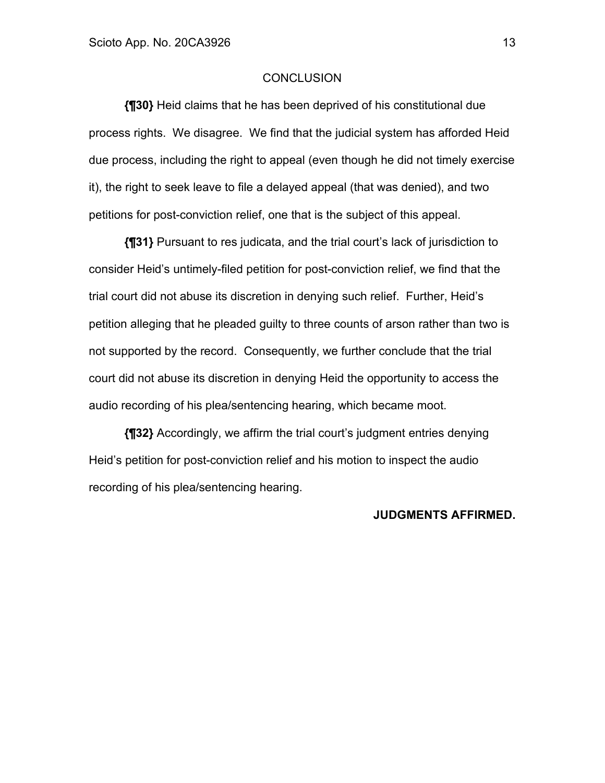## **CONCLUSION**

**{¶30}** Heid claims that he has been deprived of his constitutional due process rights. We disagree. We find that the judicial system has afforded Heid due process, including the right to appeal (even though he did not timely exercise it), the right to seek leave to file a delayed appeal (that was denied), and two petitions for post-conviction relief, one that is the subject of this appeal.

**{¶31}** Pursuant to res judicata, and the trial court's lack of jurisdiction to consider Heid's untimely-filed petition for post-conviction relief, we find that the trial court did not abuse its discretion in denying such relief. Further, Heid's petition alleging that he pleaded guilty to three counts of arson rather than two is not supported by the record. Consequently, we further conclude that the trial court did not abuse its discretion in denying Heid the opportunity to access the audio recording of his plea/sentencing hearing, which became moot.

**{¶32}** Accordingly, we affirm the trial court's judgment entries denying Heid's petition for post-conviction relief and his motion to inspect the audio recording of his plea/sentencing hearing.

#### **JUDGMENTS AFFIRMED.**